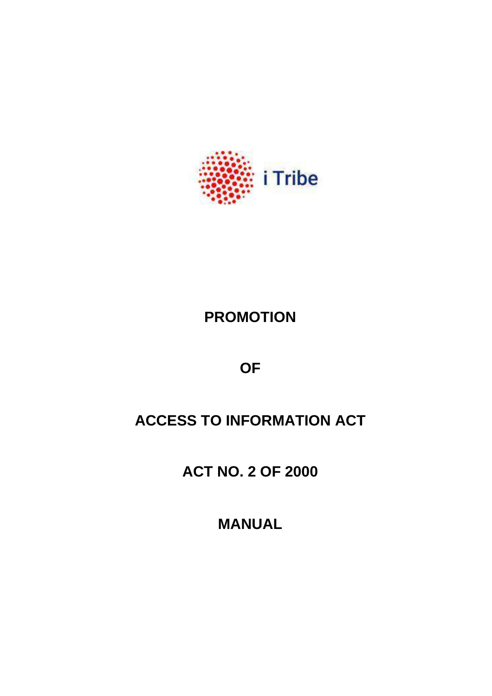

# **PROMOTION**

**OF**

# **ACCESS TO INFORMATION ACT**

**ACT NO. 2 OF 2000**

**MANUAL**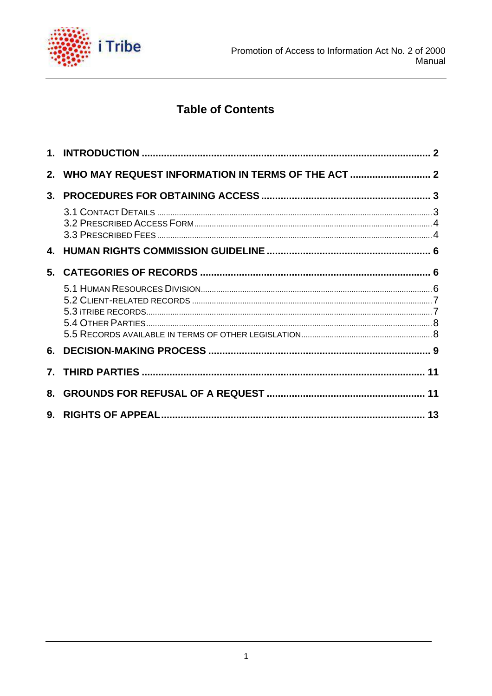

## **Table of Contents**

| 3.      |  |
|---------|--|
|         |  |
|         |  |
| 5.      |  |
|         |  |
| 6.      |  |
| $7_{-}$ |  |
| 8.      |  |
|         |  |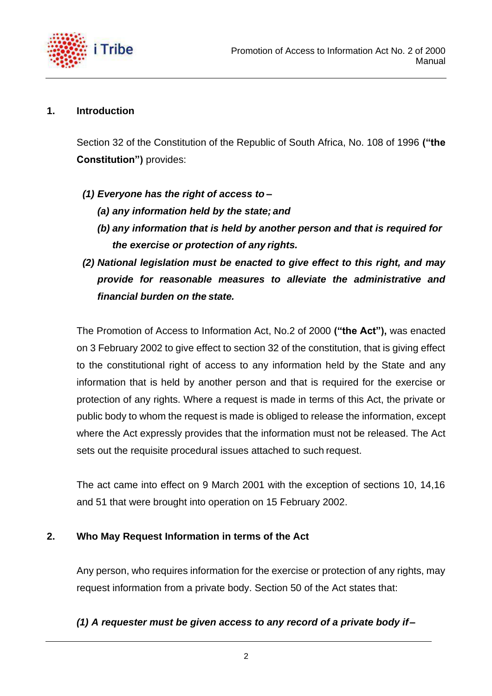

#### <span id="page-2-0"></span>**1. Introduction**

Section 32 of the Constitution of the Republic of South Africa, No. 108 of 1996 **("the Constitution")** provides:

- *(1) Everyone has the right of access to –*
	- *(a) any information held by the state; and*
	- *(b) any information that is held by another person and that is required for the exercise or protection of any rights.*
- *(2) National legislation must be enacted to give effect to this right, and may provide for reasonable measures to alleviate the administrative and financial burden on the state.*

The Promotion of Access to Information Act, No.2 of 2000 **("the Act"),** was enacted on 3 February 2002 to give effect to section 32 of the constitution, that is giving effect to the constitutional right of access to any information held by the State and any information that is held by another person and that is required for the exercise or protection of any rights. Where a request is made in terms of this Act, the private or public body to whom the request is made is obliged to release the information, except where the Act expressly provides that the information must not be released. The Act sets out the requisite procedural issues attached to such request.

The act came into effect on 9 March 2001 with the exception of sections 10, 14,16 and 51 that were brought into operation on 15 February 2002.

## <span id="page-2-1"></span>**2. Who May Request Information in terms of the Act**

Any person, who requires information for the exercise or protection of any rights, may request information from a private body. Section 50 of the Act states that:

## *(1) A requester must be given access to any record of a private body if–*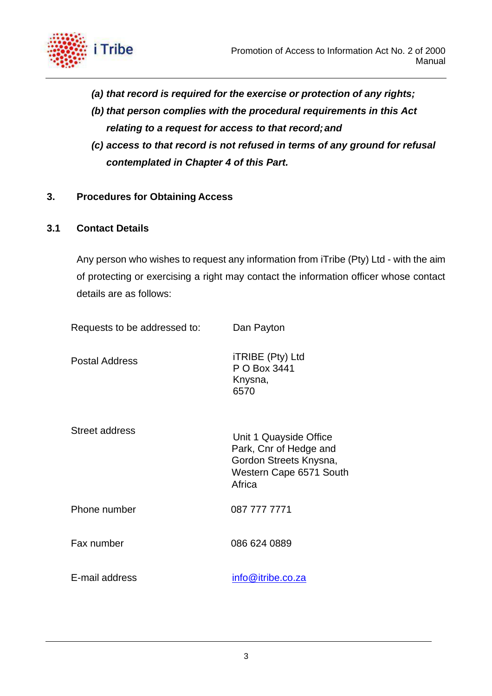

- *(a) that record is required for the exercise or protection of any rights;*
- *(b) that person complies with the procedural requirements in this Act relating to a request for access to that record;and*
- *(c) access to that record is not refused in terms of any ground for refusal contemplated in Chapter 4 of this Part.*
- <span id="page-3-0"></span>**3. Procedures for Obtaining Access**

#### <span id="page-3-1"></span>**3.1 Contact Details**

Any person who wishes to request any information from iTribe (Pty) Ltd - with the aim of protecting or exercising a right may contact the information officer whose contact details are as follows:

| Requests to be addressed to: | Dan Payton                                                                                                      |
|------------------------------|-----------------------------------------------------------------------------------------------------------------|
| <b>Postal Address</b>        | iTRIBE (Pty) Ltd<br>P O Box 3441<br>Knysna,<br>6570                                                             |
| <b>Street address</b>        | Unit 1 Quayside Office<br>Park, Cnr of Hedge and<br>Gordon Streets Knysna,<br>Western Cape 6571 South<br>Africa |
| Phone number                 | 087 777 7771                                                                                                    |
| Fax number                   | 086 624 0889                                                                                                    |
| E-mail address               | <u>info@itribe.co.za</u>                                                                                        |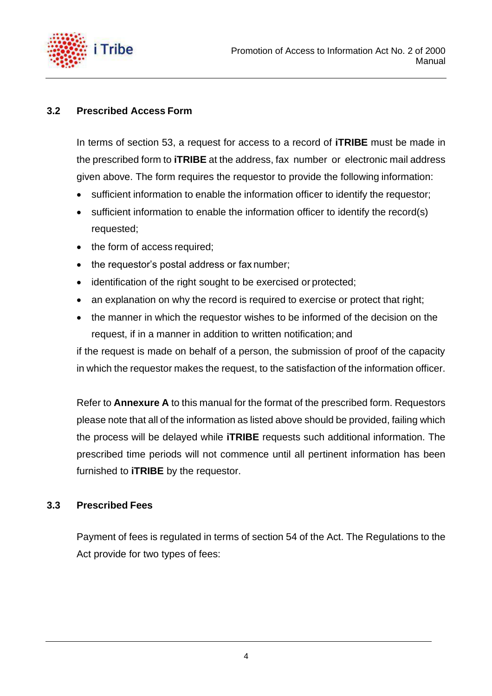

## <span id="page-4-0"></span>**3.2 Prescribed Access Form**

In terms of section 53, a request for access to a record of **iTRIBE** must be made in the prescribed form to **iTRIBE** at the address, fax number or electronic mail address given above. The form requires the requestor to provide the following information:

- sufficient information to enable the information officer to identify the requestor;
- sufficient information to enable the information officer to identify the record(s) requested;
- the form of access required;
- the requestor's postal address or fax number;
- identification of the right sought to be exercised or protected;
- an explanation on why the record is required to exercise or protect that right;
- the manner in which the requestor wishes to be informed of the decision on the request, if in a manner in addition to written notification; and

if the request is made on behalf of a person, the submission of proof of the capacity in which the requestor makes the request, to the satisfaction of the information officer.

Refer to **Annexure A** to this manual for the format of the prescribed form. Requestors please note that all of the information as listed above should be provided, failing which the process will be delayed while **iTRIBE** requests such additional information. The prescribed time periods will not commence until all pertinent information has been furnished to **iTRIBE** by the requestor.

#### <span id="page-4-1"></span>**3.3 Prescribed Fees**

Payment of fees is regulated in terms of section 54 of the Act. The Regulations to the Act provide for two types of fees: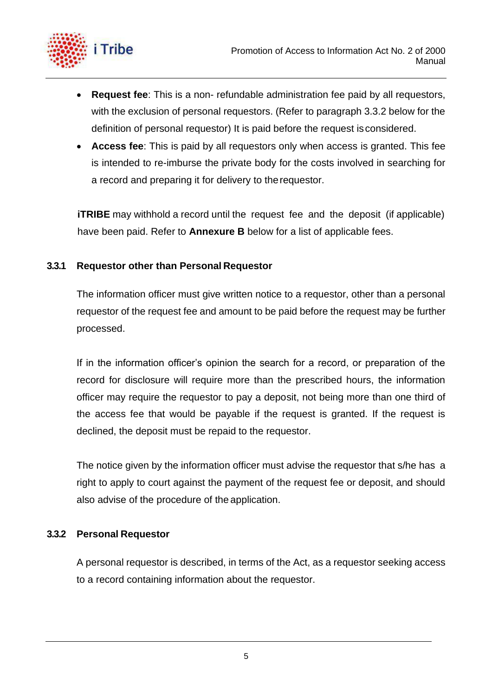

- **Request fee**: This is a non- refundable administration fee paid by all requestors, with the exclusion of personal requestors. (Refer to paragraph 3.3.2 below for the definition of personal requestor) It is paid before the request isconsidered.
- **Access fee**: This is paid by all requestors only when access is granted. This fee is intended to re-imburse the private body for the costs involved in searching for a record and preparing it for delivery to therequestor.

*iTRIBE* may withhold a record until the request fee and the deposit (if applicable) have been paid. Refer to **Annexure B** below for a list of applicable fees.

## **3.3.1 Requestor other than Personal Requestor**

The information officer must give written notice to a requestor, other than a personal requestor of the request fee and amount to be paid before the request may be further processed.

If in the information officer's opinion the search for a record, or preparation of the record for disclosure will require more than the prescribed hours, the information officer may require the requestor to pay a deposit, not being more than one third of the access fee that would be payable if the request is granted. If the request is declined, the deposit must be repaid to the requestor.

The notice given by the information officer must advise the requestor that s/he has a right to apply to court against the payment of the request fee or deposit, and should also advise of the procedure of the application.

## **3.3.2 Personal Requestor**

A personal requestor is described, in terms of the Act, as a requestor seeking access to a record containing information about the requestor.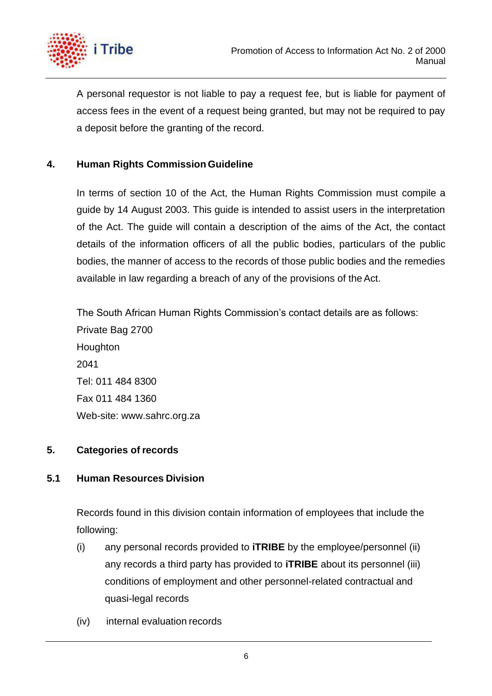

A personal requestor is not liable to pay a request fee, but is liable for payment of access fees in the event of a request being granted, but may not be required to pay a deposit before the granting of the record.

## <span id="page-6-0"></span>**4. Human Rights Commission Guideline**

In terms of section 10 of the Act, the Human Rights Commission must compile a guide by 14 August 2003. This guide is intended to assist users in the interpretation of the Act. The guide will contain a description of the aims of the Act, the contact details of the information officers of all the public bodies, particulars of the public bodies, the manner of access to the records of those public bodies and the remedies available in law regarding a breach of any of the provisions of the Act.

The South African Human Rights Commission's contact details are as follows: Private Bag 2700 Houghton 2041 Tel: 011 484 8300 Fax 011 484 1360 Web-site: [www.sahrc.org.za](http://www.sahrc.org.za/)

## <span id="page-6-1"></span>**5. Categories of records**

## <span id="page-6-2"></span>**5.1 Human Resources Division**

Records found in this division contain information of employees that include the following:

- (i) any personal records provided to **iTRIBE** by the employee/personnel (ii) any records a third party has provided to **iTRIBE** about its personnel (iii) conditions of employment and other personnel-related contractual and quasi-legal records
- (iv) internal evaluation records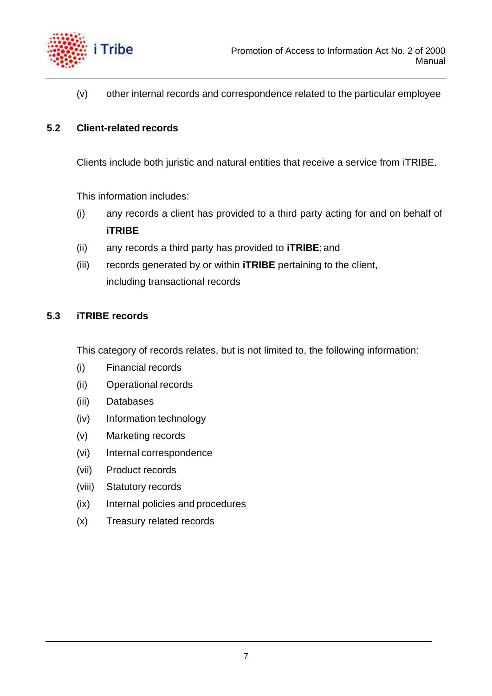

(v) other internal records and correspondence related to the particular employee

#### <span id="page-7-0"></span>**5.2 Client-related records**

Clients include both juristic and natural entities that receive a service from iTRIBE.

This information includes:

- (i) any records a client has provided to a third party acting for and on behalf of **iTRIBE**
- (ii) any records a third party has provided to **iTRIBE**; and
- (iii) records generated by or within **iTRIBE** pertaining to the client, including transactional records

## **5.3 iTRIBE records**

This category of records relates, but is not limited to, the following information:

- (i) Financial records
- (ii) Operational records
- (iii) Databases
- (iv) Information technology
- (v) Marketing records
- (vi) Internal correspondence
- (vii) Product records
- (viii) Statutory records
- (ix) Internal policies and procedures
- (x) Treasury related records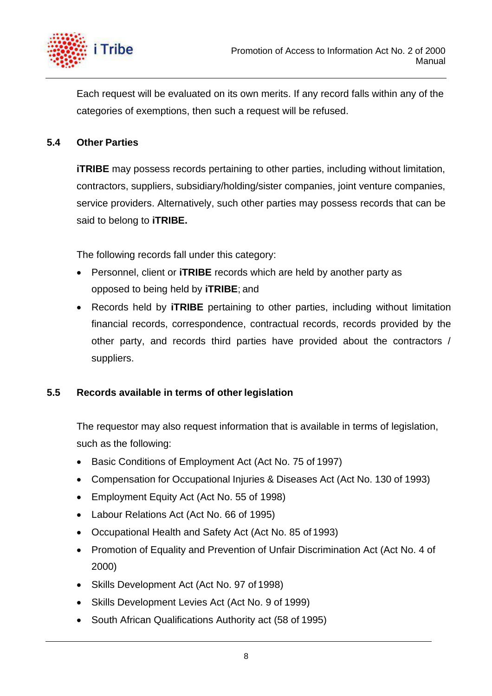

Each request will be evaluated on its own merits. If any record falls within any of the categories of exemptions, then such a request will be refused.

## <span id="page-8-0"></span>**5.4 Other Parties**

*iTRIBE* may possess records pertaining to other parties, including without limitation, contractors, suppliers, subsidiary/holding/sister companies, joint venture companies, service providers. Alternatively, such other parties may possess records that can be said to belong to **iTRIBE.**

The following records fall under this category:

- Personnel, client or **iTRIBE** records which are held by another party as opposed to being held by **iTRIBE**; and
- Records held by **iTRIBE** pertaining to other parties, including without limitation financial records, correspondence, contractual records, records provided by the other party, and records third parties have provided about the contractors / suppliers.

## <span id="page-8-1"></span>**5.5 Records available in terms of other legislation**

The requestor may also request information that is available in terms of legislation, such as the following:

- Basic Conditions of Employment Act (Act No. 75 of 1997)
- Compensation for Occupational Injuries & Diseases Act (Act No. 130 of 1993)
- Employment Equity Act (Act No. 55 of 1998)
- Labour Relations Act (Act No. 66 of 1995)
- Occupational Health and Safety Act (Act No. 85 of 1993)
- Promotion of Equality and Prevention of Unfair Discrimination Act (Act No. 4 of 2000)
- Skills Development Act (Act No. 97 of 1998)
- Skills Development Levies Act (Act No. 9 of 1999)
- South African Qualifications Authority act (58 of 1995)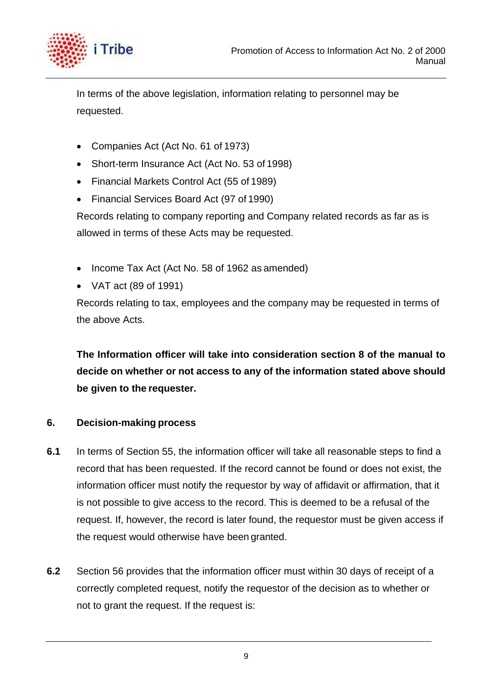

In terms of the above legislation, information relating to personnel may be requested.

- Companies Act (Act No. 61 of 1973)
- Short-term Insurance Act (Act No. 53 of 1998)
- Financial Markets Control Act (55 of 1989)
- Financial Services Board Act (97 of 1990)

Records relating to company reporting and Company related records as far as is allowed in terms of these Acts may be requested.

- Income Tax Act (Act No. 58 of 1962 as amended)
- VAT act (89 of 1991)

Records relating to tax, employees and the company may be requested in terms of the above Acts.

**The Information officer will take into consideration section 8 of the manual to decide on whether or not access to any of the information stated above should be given to the requester.**

## <span id="page-9-0"></span>**6. Decision-making process**

- **6.1** In terms of Section 55, the information officer will take all reasonable steps to find a record that has been requested. If the record cannot be found or does not exist, the information officer must notify the requestor by way of affidavit or affirmation, that it is not possible to give access to the record. This is deemed to be a refusal of the request. If, however, the record is later found, the requestor must be given access if the request would otherwise have been granted.
- **6.2** Section 56 provides that the information officer must within 30 days of receipt of a correctly completed request, notify the requestor of the decision as to whether or not to grant the request. If the request is: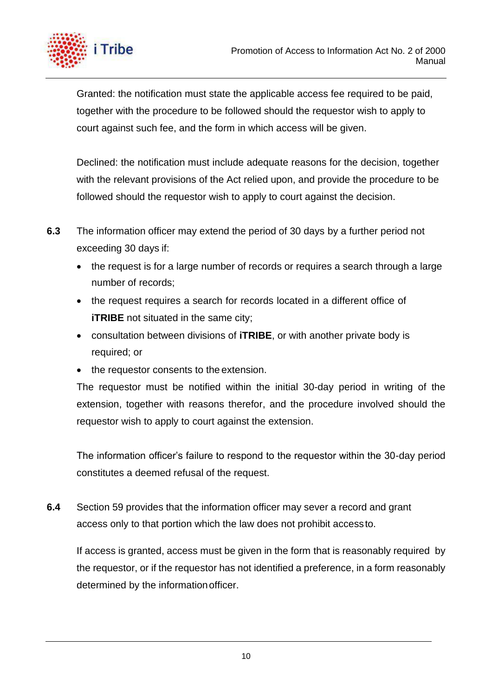

Granted: the notification must state the applicable access fee required to be paid, together with the procedure to be followed should the requestor wish to apply to court against such fee, and the form in which access will be given.

Declined: the notification must include adequate reasons for the decision, together with the relevant provisions of the Act relied upon, and provide the procedure to be followed should the requestor wish to apply to court against the decision.

- **6.3** The information officer may extend the period of 30 days by a further period not exceeding 30 days if:
	- the request is for a large number of records or requires a search through a large number of records;
	- the request requires a search for records located in a different office of *iTRIBE* not situated in the same city;
	- consultation between divisions of **iTRIBE**, or with another private body is required; or
	- the requestor consents to the extension.

The requestor must be notified within the initial 30-day period in writing of the extension, together with reasons therefor, and the procedure involved should the requestor wish to apply to court against the extension.

The information officer's failure to respond to the requestor within the 30-day period constitutes a deemed refusal of the request.

**6.4** Section 59 provides that the information officer may sever a record and grant access only to that portion which the law does not prohibit accessto.

If access is granted, access must be given in the form that is reasonably required by the requestor, or if the requestor has not identified a preference, in a form reasonably determined by the informationofficer.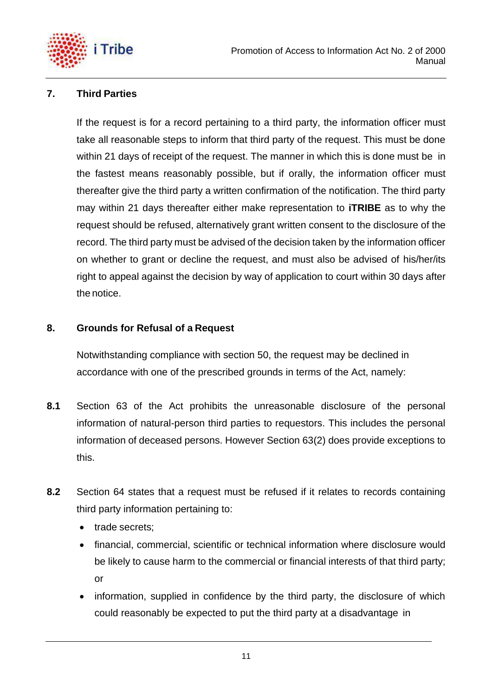

## <span id="page-11-0"></span>**7. Third Parties**

If the request is for a record pertaining to a third party, the information officer must take all reasonable steps to inform that third party of the request. This must be done within 21 days of receipt of the request. The manner in which this is done must be in the fastest means reasonably possible, but if orally, the information officer must thereafter give the third party a written confirmation of the notification. The third party may within 21 days thereafter either make representation to **iTRIBE** as to why the request should be refused, alternatively grant written consent to the disclosure of the record. The third party must be advised of the decision taken by the information officer on whether to grant or decline the request, and must also be advised of his/her/its right to appeal against the decision by way of application to court within 30 days after the notice.

#### <span id="page-11-1"></span>**8. Grounds for Refusal of a Request**

Notwithstanding compliance with section 50, the request may be declined in accordance with one of the prescribed grounds in terms of the Act, namely:

- **8.1** Section 63 of the Act prohibits the unreasonable disclosure of the personal information of natural-person third parties to requestors. This includes the personal information of deceased persons. However Section 63(2) does provide exceptions to this.
- **8.2** Section 64 states that a request must be refused if it relates to records containing third party information pertaining to:
	- trade secrets;
	- financial, commercial, scientific or technical information where disclosure would be likely to cause harm to the commercial or financial interests of that third party; or
	- information, supplied in confidence by the third party, the disclosure of which could reasonably be expected to put the third party at a disadvantage in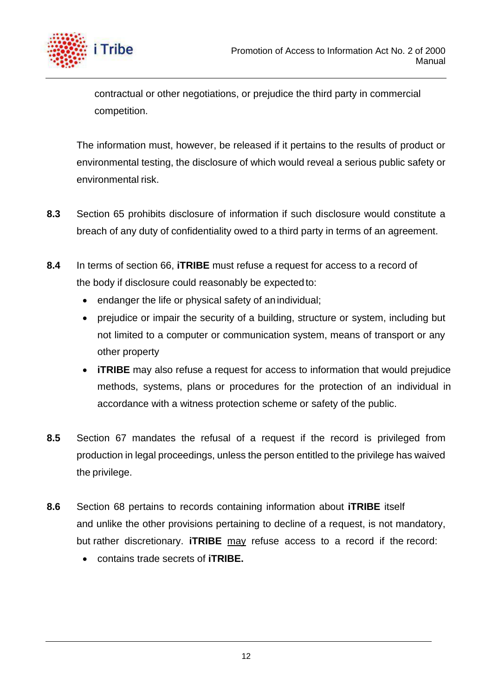

contractual or other negotiations, or prejudice the third party in commercial competition.

The information must, however, be released if it pertains to the results of product or environmental testing, the disclosure of which would reveal a serious public safety or environmental risk.

- **8.3** Section 65 prohibits disclosure of information if such disclosure would constitute a breach of any duty of confidentiality owed to a third party in terms of an agreement.
- **8.4** In terms of section 66, **iTRIBE** must refuse a request for access to a record of the body if disclosure could reasonably be expectedto:
	- endanger the life or physical safety of an individual;
	- prejudice or impair the security of a building, structure or system, including but not limited to a computer or communication system, means of transport or any other property
	- **iTRIBE** may also refuse a request for access to information that would prejudice methods, systems, plans or procedures for the protection of an individual in accordance with a witness protection scheme or safety of the public.
- **8.5** Section 67 mandates the refusal of a request if the record is privileged from production in legal proceedings, unless the person entitled to the privilege has waived the privilege.
- **8.6** Section 68 pertains to records containing information about **iTRIBE** itself and unlike the other provisions pertaining to decline of a request, is not mandatory, but rather discretionary. **iTRIBE** may refuse access to a record if the record:
	- contains trade secrets of **iTRIBE.**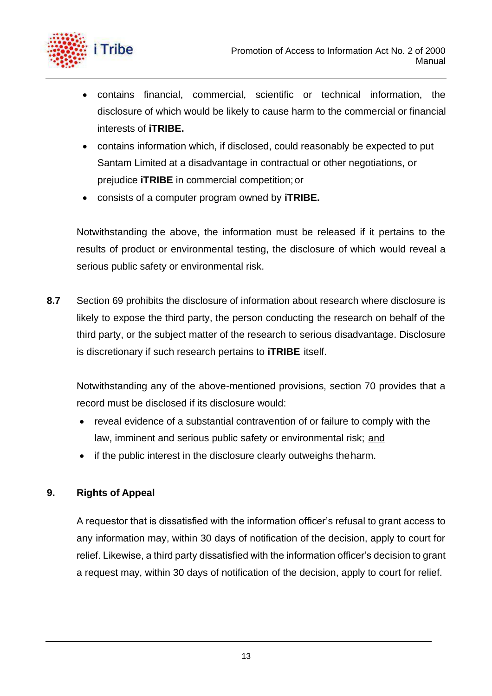



- contains financial, commercial, scientific or technical information, the disclosure of which would be likely to cause harm to the commercial or financial interests of **iTRIBE.**
- contains information which, if disclosed, could reasonably be expected to put Santam Limited at a disadvantage in contractual or other negotiations, or prejudice **iTRIBE** in commercial competition;or
- consists of a computer program owned by **iTRIBE.**

Notwithstanding the above, the information must be released if it pertains to the results of product or environmental testing, the disclosure of which would reveal a serious public safety or environmental risk.

**8.7** Section 69 prohibits the disclosure of information about research where disclosure is likely to expose the third party, the person conducting the research on behalf of the third party, or the subject matter of the research to serious disadvantage. Disclosure is discretionary if such research pertains to **iTRIBE** itself.

Notwithstanding any of the above-mentioned provisions, section 70 provides that a record must be disclosed if its disclosure would:

- reveal evidence of a substantial contravention of or failure to comply with the law, imminent and serious public safety or environmental risk; and
- if the public interest in the disclosure clearly outweighs theharm.

## <span id="page-13-0"></span>**9. Rights of Appeal**

A requestor that is dissatisfied with the information officer's refusal to grant access to any information may, within 30 days of notification of the decision, apply to court for relief. Likewise, a third party dissatisfied with the information officer's decision to grant a request may, within 30 days of notification of the decision, apply to court for relief.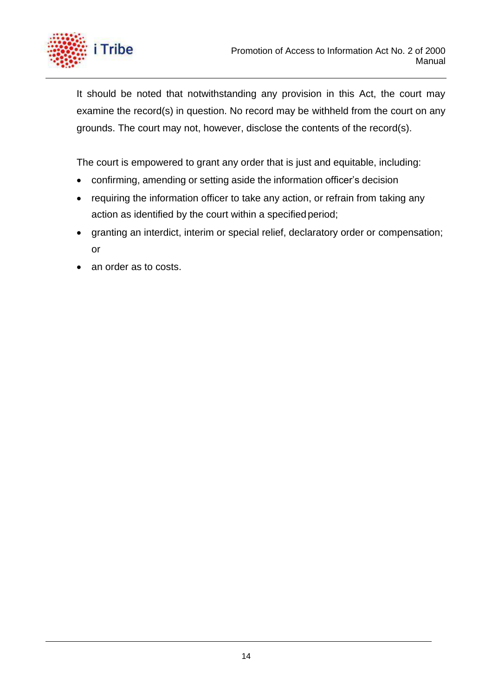

It should be noted that notwithstanding any provision in this Act, the court may examine the record(s) in question. No record may be withheld from the court on any grounds. The court may not, however, disclose the contents of the record(s).

The court is empowered to grant any order that is just and equitable, including:

- confirming, amending or setting aside the information officer's decision
- requiring the information officer to take any action, or refrain from taking any action as identified by the court within a specified period;
- granting an interdict, interim or special relief, declaratory order or compensation; or
- an order as to costs.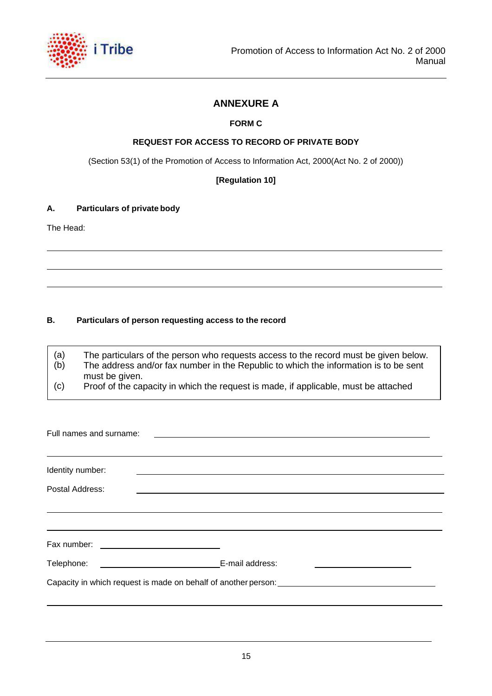

#### **ANNEXURE A**

#### **FORM C**

#### **REQUEST FOR ACCESS TO RECORD OF PRIVATE BODY**

(Section 53(1) of the Promotion of Access to Information Act, 2000(Act No. 2 of 2000))

**[Regulation 10]**

#### **A. Particulars of private body**

The Head:

#### **B. Particulars of person requesting access to the record**

(a) (b) The particulars of the person who requests access to the record must be given below. The address and/or fax number in the Republic to which the information is to be sent

- must be given.
- (c) Proof of the capacity in which the request is made, if applicable, must be attached

| Full names and surname:                                      |                                                                                                                  |  |  |  |  |
|--------------------------------------------------------------|------------------------------------------------------------------------------------------------------------------|--|--|--|--|
| Identity number:                                             | and the control of the control of the control of the control of the control of the control of the control of the |  |  |  |  |
| Postal Address:                                              |                                                                                                                  |  |  |  |  |
|                                                              |                                                                                                                  |  |  |  |  |
| Fax number:<br><u> 1980 - Andrea Andrew Maria (h. 1980).</u> |                                                                                                                  |  |  |  |  |
| Telephone:                                                   | E-mail address:                                                                                                  |  |  |  |  |
|                                                              | Capacity in which request is made on behalf of another person:                                                   |  |  |  |  |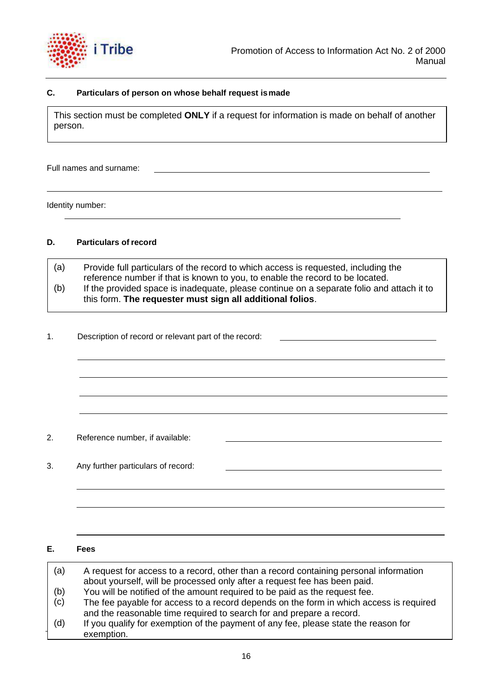

#### **C. Particulars of person on whose behalf request ismade**

This section must be completed **ONLY** if a request for information is made on behalf of another person.

Full names and surname:

Identity number:

#### **D. Particulars of record**

(a) (b) Provide full particulars of the record to which access is requested, including the reference number if that is known to you, to enable the record to be located. If the provided space is inadequate, please continue on a separate folio and attach it to this form. **The requester must sign all additional folios**.

1. Description of record or relevant part of the record:

- 2. Reference number, if available:
- 3. Any further particulars of record:

#### **E. Fees**

| (a) | A request for access to a record, other than a record containing personal information<br>about yourself, will be processed only after a request fee has been paid. |
|-----|--------------------------------------------------------------------------------------------------------------------------------------------------------------------|
| (b) | You will be notified of the amount required to be paid as the request fee.                                                                                         |
| (c) | The fee payable for access to a record depends on the form in which access is required                                                                             |
|     | and the reasonable time required to search for and prepare a record.                                                                                               |
| (d) | If you qualify for exemption of the payment of any fee, please state the reason for                                                                                |
|     | exemption.                                                                                                                                                         |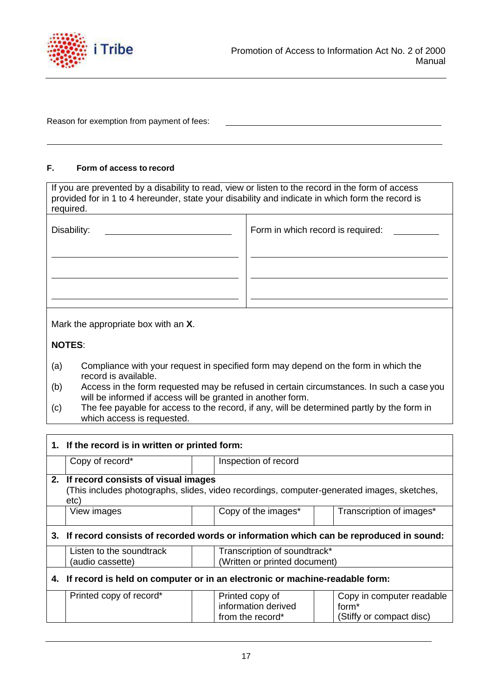

Reason for exemption from payment of fees:

#### **F. Form of access to record**

| If you are prevented by a disability to read, view or listen to the record in the form of access<br>provided for in 1 to 4 hereunder, state your disability and indicate in which form the record is<br>required. |                                   |  |  |  |
|-------------------------------------------------------------------------------------------------------------------------------------------------------------------------------------------------------------------|-----------------------------------|--|--|--|
| Disability:                                                                                                                                                                                                       | Form in which record is required: |  |  |  |
|                                                                                                                                                                                                                   |                                   |  |  |  |
|                                                                                                                                                                                                                   |                                   |  |  |  |
| Mark the appropriate box with an X.                                                                                                                                                                               |                                   |  |  |  |
| <b>NOTES:</b>                                                                                                                                                                                                     |                                   |  |  |  |

- (a) Compliance with your request in specified form may depend on the form in which the record is available.
- (b) Access in the form requested may be refused in certain circumstances. In such a case you will be informed if access will be granted in another form.
- (c) The fee payable for access to the record, if any, will be determined partly by the form in which access is requested.

| 1. If the record is in written or printed form:                                                                                              |  |                                                               |  |                                                                            |  |  |
|----------------------------------------------------------------------------------------------------------------------------------------------|--|---------------------------------------------------------------|--|----------------------------------------------------------------------------|--|--|
| Copy of record*                                                                                                                              |  | Inspection of record                                          |  |                                                                            |  |  |
| 2. If record consists of visual images<br>(This includes photographs, slides, video recordings, computer-generated images, sketches,<br>etc) |  |                                                               |  |                                                                            |  |  |
| View images                                                                                                                                  |  | Copy of the images*                                           |  | Transcription of images*                                                   |  |  |
| 3. If record consists of recorded words or information which can be reproduced in sound:                                                     |  |                                                               |  |                                                                            |  |  |
| Listen to the soundtrack<br>(audio cassette)                                                                                                 |  | Transcription of soundtrack*<br>(Written or printed document) |  |                                                                            |  |  |
| 4. If record is held on computer or in an electronic or machine-readable form:                                                               |  |                                                               |  |                                                                            |  |  |
| Printed copy of record*                                                                                                                      |  | Printed copy of<br>information derived<br>from the record*    |  | Copy in computer readable<br>form <sup>*</sup><br>(Stiffy or compact disc) |  |  |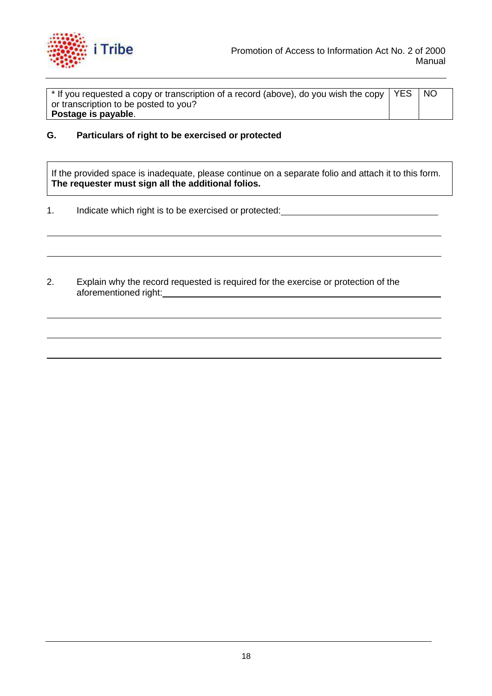

 $^{\star}$  If you requested a copy or transcription of a record (above), do you wish the copy  $\mid$  YES  $\mid$  NO or transcription to be posted to you? **Postage is payable**.

**G. Particulars of right to be exercised or protected**

If the provided space is inadequate, please continue on a separate folio and attach it to this form. **The requester must sign all the additional folios.**

- 1. Indicate which right is to be exercised or protected:<br>
- 2. Explain why the record requested is required for the exercise or protection of the aforementioned right: